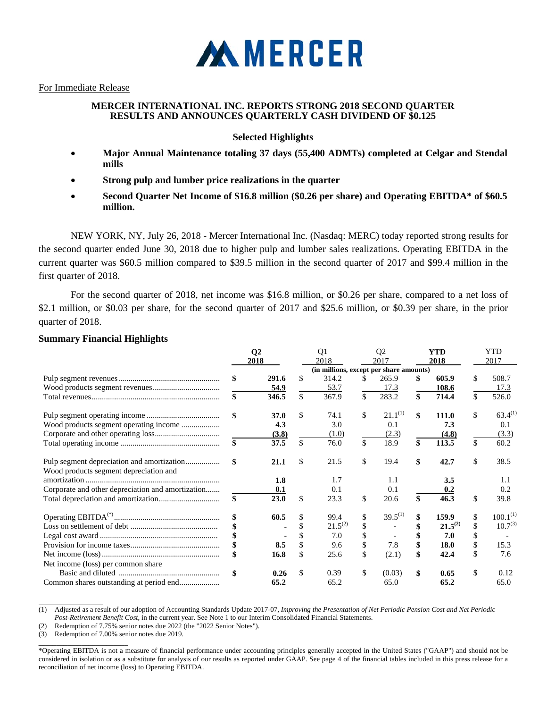

For Immediate Release

# **MERCER INTERNATIONAL INC. REPORTS STRONG 2018 SECOND QUARTER RESULTS AND ANNOUNCES QUARTERLY CASH DIVIDEND OF \$0.125**

# **Selected Highlights**

- **Major Annual Maintenance totaling 37 days (55,400 ADMTs) completed at Celgar and Stendal mills**
- **Strong pulp and lumber price realizations in the quarter**
- **Second Quarter Net Income of \$16.8 million (\$0.26 per share) and Operating EBITDA\* of \$60.5 million.**

NEW YORK, NY, July 26, 2018 - Mercer International Inc. (Nasdaq: MERC) today reported strong results for the second quarter ended June 30, 2018 due to higher pulp and lumber sales realizations. Operating EBITDA in the current quarter was \$60.5 million compared to \$39.5 million in the second quarter of 2017 and \$99.4 million in the first quarter of 2018.

For the second quarter of 2018, net income was \$16.8 million, or \$0.26 per share, compared to a net loss of \$2.1 million, or \$0.03 per share, for the second quarter of 2017 and \$25.6 million, or \$0.39 per share, in the prior quarter of 2018.

|  |  | <b>Summary Financial Highlights</b> |
|--|--|-------------------------------------|
|--|--|-------------------------------------|

|                                                   | $\bf Q2$    |                    | Q <sub>1</sub>                          |    | Q <sub>2</sub> |     | YTD          | <b>YTD</b>          |
|---------------------------------------------------|-------------|--------------------|-----------------------------------------|----|----------------|-----|--------------|---------------------|
|                                                   | 2018        |                    | 2018                                    |    | 2017           |     | 2018         | 2017                |
|                                                   |             |                    | (in millions, except per share amounts) |    |                |     |              |                     |
|                                                   | \$<br>291.6 | \$                 | 314.2                                   | S. | 265.9          |     | 605.9        | \$<br>508.7         |
|                                                   | 54.9        |                    | 53.7                                    |    | 17.3           |     | 108.6        | 17.3                |
|                                                   | \$<br>346.5 | $\mathbf{\hat{s}}$ | 367.9                                   | \$ | 283.2          | \$. | 714.4        | \$<br>526.0         |
|                                                   | \$<br>37.0  | \$                 | 74.1                                    | \$ | $21.1^{(1)}$   | \$  | 111.0        | \$<br>$63.4^{(1)}$  |
| Wood products segment operating income            | 4.3         |                    | 3.0                                     |    | 0.1            |     | 7.3          | 0.1                 |
|                                                   | (3.8)       |                    | (1.0)                                   |    | (2.3)          |     | (4.8)        | (3.3)               |
|                                                   | \$<br>37.5  | \$                 | 76.0                                    | \$ | 18.9           | \$  | 113.5        | \$<br>60.2          |
| Wood products segment depreciation and            | \$<br>21.1  | \$                 | 21.5                                    | \$ | 19.4           | \$  | 42.7         | \$<br>38.5          |
|                                                   | 1.8         |                    | 1.7                                     |    | 1.1            |     | 3.5          | 1.1                 |
| Corporate and other depreciation and amortization | 0.1         |                    | 0.1                                     |    | 0.1            |     | 0.2          | 0.2                 |
|                                                   | \$<br>23.0  | \$                 | 23.3                                    | \$ | 20.6           | \$  | 46.3         | \$<br>39.8          |
|                                                   | 60.5        |                    | 99.4                                    | \$ | $39.5^{(1)}$   |     | 159.9        | \$<br>$100.1^{(1)}$ |
|                                                   |             |                    | $21.5^{(2)}$                            |    |                |     | $21.5^{(2)}$ | \$<br>$10.7^{(3)}$  |
|                                                   |             |                    | 7.0                                     |    |                |     | 7.0          |                     |
|                                                   | 8.5         |                    | 9.6                                     | \$ | 7.8            |     | 18.0         | \$<br>15.3          |
|                                                   | 16.8        | \$                 | 25.6                                    | \$ | (2.1)          |     | 42.4         | \$<br>7.6           |
| Net income (loss) per common share                |             |                    |                                         |    |                |     |              |                     |
|                                                   | \$<br>0.26  | \$.                | 0.39                                    | \$ | (0.03)         | \$  | 0.65         | \$<br>0.12          |
|                                                   | 65.2        |                    | 65.2                                    |    | 65.0           |     | 65.2         | 65.0                |

<sup>(1)</sup> Adjusted as a result of our adoption of Accounting Standards Update 2017-07, *Improving the Presentation of Net Periodic Pension Cost and Net Periodic Post-Retirement Benefit Cost*, in the current year. See Note 1 to our Interim Consolidated Financial Statements.

(2) Redemption of 7.75% senior notes due 2022 (the "2022 Senior Notes").

(3) Redemption of 7.00% senior notes due 2019.  $\_$ 

 $\overline{a}$ 

<sup>\*</sup>Operating EBITDA is not a measure of financial performance under accounting principles generally accepted in the United States ("GAAP") and should not be considered in isolation or as a substitute for analysis of our results as reported under GAAP. See page 4 of the financial tables included in this press release for a reconciliation of net income (loss) to Operating EBITDA.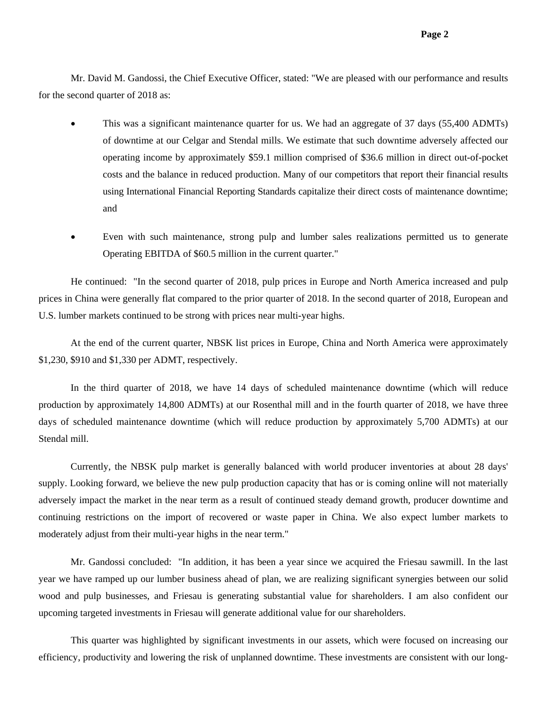Mr. David M. Gandossi, the Chief Executive Officer, stated: "We are pleased with our performance and results for the second quarter of 2018 as:

- This was a significant maintenance quarter for us. We had an aggregate of 37 days (55,400 ADMTs) of downtime at our Celgar and Stendal mills. We estimate that such downtime adversely affected our operating income by approximately \$59.1 million comprised of \$36.6 million in direct out-of-pocket costs and the balance in reduced production. Many of our competitors that report their financial results using International Financial Reporting Standards capitalize their direct costs of maintenance downtime; and
- Even with such maintenance, strong pulp and lumber sales realizations permitted us to generate Operating EBITDA of \$60.5 million in the current quarter."

He continued: "In the second quarter of 2018, pulp prices in Europe and North America increased and pulp prices in China were generally flat compared to the prior quarter of 2018. In the second quarter of 2018, European and U.S. lumber markets continued to be strong with prices near multi-year highs.

At the end of the current quarter, NBSK list prices in Europe, China and North America were approximately \$1,230, \$910 and \$1,330 per ADMT, respectively.

In the third quarter of 2018, we have 14 days of scheduled maintenance downtime (which will reduce production by approximately 14,800 ADMTs) at our Rosenthal mill and in the fourth quarter of 2018, we have three days of scheduled maintenance downtime (which will reduce production by approximately 5,700 ADMTs) at our Stendal mill.

Currently, the NBSK pulp market is generally balanced with world producer inventories at about 28 days' supply. Looking forward, we believe the new pulp production capacity that has or is coming online will not materially adversely impact the market in the near term as a result of continued steady demand growth, producer downtime and continuing restrictions on the import of recovered or waste paper in China. We also expect lumber markets to moderately adjust from their multi-year highs in the near term."

Mr. Gandossi concluded: "In addition, it has been a year since we acquired the Friesau sawmill. In the last year we have ramped up our lumber business ahead of plan, we are realizing significant synergies between our solid wood and pulp businesses, and Friesau is generating substantial value for shareholders. I am also confident our upcoming targeted investments in Friesau will generate additional value for our shareholders.

This quarter was highlighted by significant investments in our assets, which were focused on increasing our efficiency, productivity and lowering the risk of unplanned downtime. These investments are consistent with our long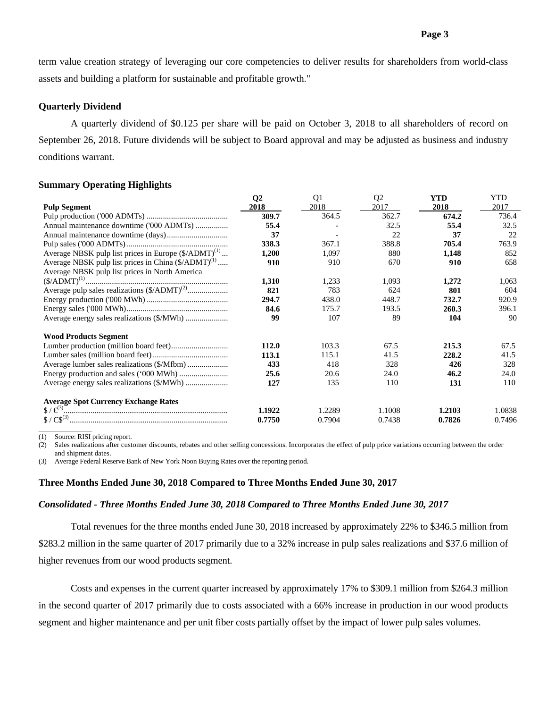term value creation strategy of leveraging our core competencies to deliver results for shareholders from world-class assets and building a platform for sustainable and profitable growth."

## **Quarterly Dividend**

A quarterly dividend of \$0.125 per share will be paid on October 3, 2018 to all shareholders of record on September 26, 2018. Future dividends will be subject to Board approval and may be adjusted as business and industry conditions warrant.

#### **Summary Operating Highlights**

|                                                                             | Q <sub>2</sub> | Q <sub>1</sub> | Q <sub>2</sub> | <b>YTD</b> | YTD    |
|-----------------------------------------------------------------------------|----------------|----------------|----------------|------------|--------|
| <b>Pulp Segment</b>                                                         | 2018           | 2018           | 2017           | 2018       | 2017   |
|                                                                             | 309.7          | 364.5          | 362.7          | 674.2      | 736.4  |
| Annual maintenance downtime ('000 ADMTs)                                    | 55.4           |                | 32.5           | 55.4       | 32.5   |
|                                                                             | 37             |                | 22             | 37         | 22     |
|                                                                             | 338.3          | 367.1          | 388.8          | 705.4      | 763.9  |
| Average NBSK pulp list prices in Europe $(\frac{1}{2}$ ADMT) <sup>(1)</sup> | 1,200          | 1,097          | 880            | 1,148      | 852    |
| Average NBSK pulp list prices in China (\$/ADMT) <sup>(1)</sup>             | 910            | 910            | 670            | 910        | 658    |
| Average NBSK pulp list prices in North America                              |                |                |                |            |        |
|                                                                             | 1,310          | 1,233          | 1,093          | 1,272      | 1,063  |
| Average pulp sales realizations (\$/ADMT) <sup>(2)</sup>                    | 821            | 783            | 624            | 801        | 604    |
|                                                                             | 294.7          | 438.0          | 448.7          | 732.7      | 920.9  |
|                                                                             | 84.6           | 175.7          | 193.5          | 260.3      | 396.1  |
|                                                                             | 99             | 107            | 89             | 104        | 90     |
| <b>Wood Products Segment</b>                                                |                |                |                |            |        |
|                                                                             | 112.0          | 103.3          | 67.5           | 215.3      | 67.5   |
|                                                                             | 113.1          | 115.1          | 41.5           | 228.2      | 41.5   |
|                                                                             | 433            | 418            | 328            | 426        | 328    |
|                                                                             | 25.6           | 20.6           | 24.0           | 46.2       | 24.0   |
|                                                                             | 127            | 135            | 110            | 131        | 110    |
| <b>Average Spot Currency Exchange Rates</b>                                 |                |                |                |            |        |
|                                                                             | 1.1922         | 1.2289         | 1.1008         | 1.2103     | 1.0838 |
|                                                                             | 0.7750         | 0.7904         | 0.7438         | 0.7826     | 0.7496 |
|                                                                             |                |                |                |            |        |

(1) Source: RISI pricing report.

(2) Sales realizations after customer discounts, rebates and other selling concessions. Incorporates the effect of pulp price variations occurring between the order and shipment dates.

(3) Average Federal Reserve Bank of New York Noon Buying Rates over the reporting period.

#### **Three Months Ended June 30, 2018 Compared to Three Months Ended June 30, 2017**

#### *Consolidated - Three Months Ended June 30, 2018 Compared to Three Months Ended June 30, 2017*

Total revenues for the three months ended June 30, 2018 increased by approximately 22% to \$346.5 million from \$283.2 million in the same quarter of 2017 primarily due to a 32% increase in pulp sales realizations and \$37.6 million of higher revenues from our wood products segment.

Costs and expenses in the current quarter increased by approximately 17% to \$309.1 million from \$264.3 million in the second quarter of 2017 primarily due to costs associated with a 66% increase in production in our wood products segment and higher maintenance and per unit fiber costs partially offset by the impact of lower pulp sales volumes.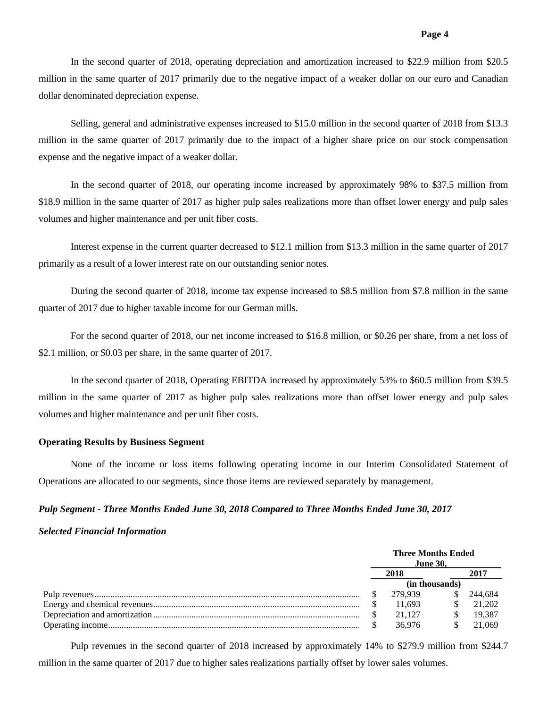In the second quarter of 2018, operating depreciation and amortization increased to \$22.9 million from \$20.5 million in the same quarter of 2017 primarily due to the negative impact of a weaker dollar on our euro and Canadian dollar denominated depreciation expense.

Selling, general and administrative expenses increased to \$15.0 million in the second quarter of 2018 from \$13.3 million in the same quarter of 2017 primarily due to the impact of a higher share price on our stock compensation expense and the negative impact of a weaker dollar.

In the second quarter of 2018, our operating income increased by approximately 98% to \$37.5 million from \$18.9 million in the same quarter of 2017 as higher pulp sales realizations more than offset lower energy and pulp sales volumes and higher maintenance and per unit fiber costs.

Interest expense in the current quarter decreased to \$12.1 million from \$13.3 million in the same quarter of 2017 primarily as a result of a lower interest rate on our outstanding senior notes.

During the second quarter of 2018, income tax expense increased to \$8.5 million from \$7.8 million in the same quarter of 2017 due to higher taxable income for our German mills.

For the second quarter of 2018, our net income increased to \$16.8 million, or \$0.26 per share, from a net loss of \$2.1 million, or \$0.03 per share, in the same quarter of 2017.

In the second quarter of 2018, Operating EBITDA increased by approximately 53% to \$60.5 million from \$39.5 million in the same quarter of 2017 as higher pulp sales realizations more than offset lower energy and pulp sales volumes and higher maintenance and per unit fiber costs.

# **Operating Results by Business Segment**

None of the income or loss items following operating income in our Interim Consolidated Statement of Operations are allocated to our segments, since those items are reviewed separately by management.

# *Pulp Segment - Three Months Ended June 30, 2018 Compared to Three Months Ended June 30, 2017*

#### *Selected Financial Information*

|  | <b>Three Months Ended</b><br><b>June 30.</b> |    |         |
|--|----------------------------------------------|----|---------|
|  |                                              |    | 2017    |
|  |                                              |    |         |
|  | 279.939                                      | S. | 244.684 |
|  | 11.693                                       |    | 21 202  |
|  | 21.127                                       |    | 19.387  |
|  | 36.976                                       |    | 21.069  |

Pulp revenues in the second quarter of 2018 increased by approximately 14% to \$279.9 million from \$244.7 million in the same quarter of 2017 due to higher sales realizations partially offset by lower sales volumes.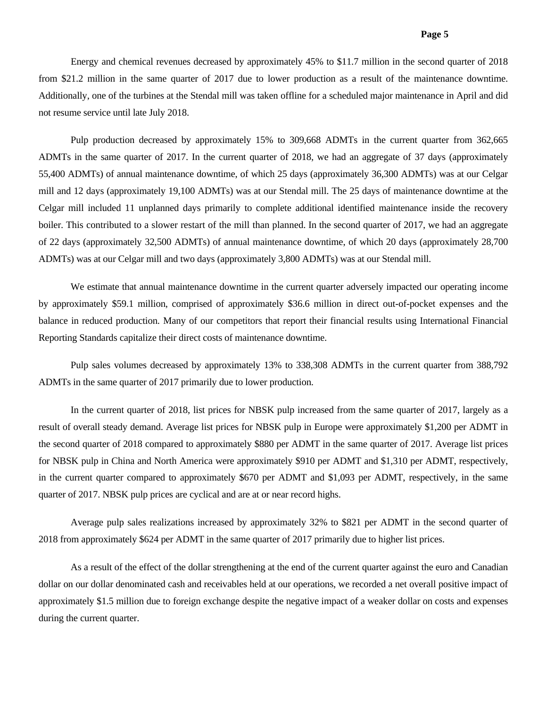Energy and chemical revenues decreased by approximately 45% to \$11.7 million in the second quarter of 2018 from \$21.2 million in the same quarter of 2017 due to lower production as a result of the maintenance downtime. Additionally, one of the turbines at the Stendal mill was taken offline for a scheduled major maintenance in April and did not resume service until late July 2018.

Pulp production decreased by approximately 15% to 309,668 ADMTs in the current quarter from 362,665 ADMTs in the same quarter of 2017. In the current quarter of 2018, we had an aggregate of 37 days (approximately 55,400 ADMTs) of annual maintenance downtime, of which 25 days (approximately 36,300 ADMTs) was at our Celgar mill and 12 days (approximately 19,100 ADMTs) was at our Stendal mill. The 25 days of maintenance downtime at the Celgar mill included 11 unplanned days primarily to complete additional identified maintenance inside the recovery boiler. This contributed to a slower restart of the mill than planned. In the second quarter of 2017, we had an aggregate of 22 days (approximately 32,500 ADMTs) of annual maintenance downtime, of which 20 days (approximately 28,700 ADMTs) was at our Celgar mill and two days (approximately 3,800 ADMTs) was at our Stendal mill.

We estimate that annual maintenance downtime in the current quarter adversely impacted our operating income by approximately \$59.1 million, comprised of approximately \$36.6 million in direct out-of-pocket expenses and the balance in reduced production. Many of our competitors that report their financial results using International Financial Reporting Standards capitalize their direct costs of maintenance downtime.

Pulp sales volumes decreased by approximately 13% to 338,308 ADMTs in the current quarter from 388,792 ADMTs in the same quarter of 2017 primarily due to lower production.

In the current quarter of 2018, list prices for NBSK pulp increased from the same quarter of 2017, largely as a result of overall steady demand. Average list prices for NBSK pulp in Europe were approximately \$1,200 per ADMT in the second quarter of 2018 compared to approximately \$880 per ADMT in the same quarter of 2017. Average list prices for NBSK pulp in China and North America were approximately \$910 per ADMT and \$1,310 per ADMT, respectively, in the current quarter compared to approximately \$670 per ADMT and \$1,093 per ADMT, respectively, in the same quarter of 2017. NBSK pulp prices are cyclical and are at or near record highs.

Average pulp sales realizations increased by approximately 32% to \$821 per ADMT in the second quarter of 2018 from approximately \$624 per ADMT in the same quarter of 2017 primarily due to higher list prices.

As a result of the effect of the dollar strengthening at the end of the current quarter against the euro and Canadian dollar on our dollar denominated cash and receivables held at our operations, we recorded a net overall positive impact of approximately \$1.5 million due to foreign exchange despite the negative impact of a weaker dollar on costs and expenses during the current quarter.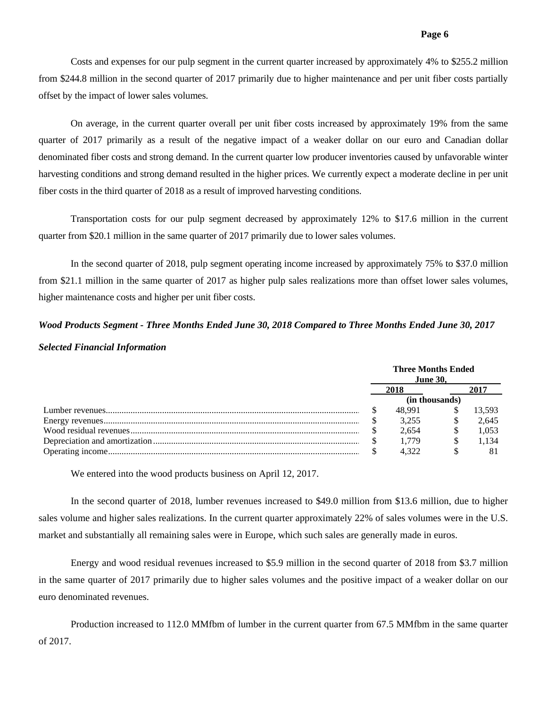Costs and expenses for our pulp segment in the current quarter increased by approximately 4% to \$255.2 million from \$244.8 million in the second quarter of 2017 primarily due to higher maintenance and per unit fiber costs partially offset by the impact of lower sales volumes.

On average, in the current quarter overall per unit fiber costs increased by approximately 19% from the same quarter of 2017 primarily as a result of the negative impact of a weaker dollar on our euro and Canadian dollar denominated fiber costs and strong demand. In the current quarter low producer inventories caused by unfavorable winter harvesting conditions and strong demand resulted in the higher prices. We currently expect a moderate decline in per unit fiber costs in the third quarter of 2018 as a result of improved harvesting conditions.

Transportation costs for our pulp segment decreased by approximately 12% to \$17.6 million in the current quarter from \$20.1 million in the same quarter of 2017 primarily due to lower sales volumes.

In the second quarter of 2018, pulp segment operating income increased by approximately 75% to \$37.0 million from \$21.1 million in the same quarter of 2017 as higher pulp sales realizations more than offset lower sales volumes, higher maintenance costs and higher per unit fiber costs.

# *Wood Products Segment - Three Months Ended June 30, 2018 Compared to Three Months Ended June 30, 2017 Selected Financial Information*

|  | <b>Three Months Ended</b><br><b>June 30.</b> |      |        |  |
|--|----------------------------------------------|------|--------|--|
|  | 2018                                         | 2017 |        |  |
|  | (in thousands)                               |      |        |  |
|  | 48.991                                       |      | 13.593 |  |
|  | 3.255                                        |      | 2.645  |  |
|  | 2.654                                        |      | 1.053  |  |
|  | 1.779                                        |      | 1.134  |  |
|  | 4.322                                        |      |        |  |

We entered into the wood products business on April 12, 2017.

In the second quarter of 2018, lumber revenues increased to \$49.0 million from \$13.6 million, due to higher sales volume and higher sales realizations. In the current quarter approximately 22% of sales volumes were in the U.S. market and substantially all remaining sales were in Europe, which such sales are generally made in euros.

Energy and wood residual revenues increased to \$5.9 million in the second quarter of 2018 from \$3.7 million in the same quarter of 2017 primarily due to higher sales volumes and the positive impact of a weaker dollar on our euro denominated revenues.

Production increased to 112.0 MMfbm of lumber in the current quarter from 67.5 MMfbm in the same quarter of 2017.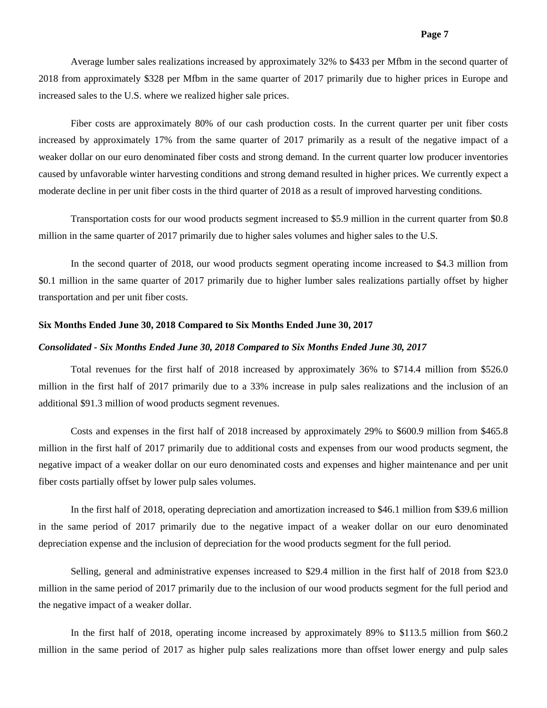Average lumber sales realizations increased by approximately 32% to \$433 per Mfbm in the second quarter of 2018 from approximately \$328 per Mfbm in the same quarter of 2017 primarily due to higher prices in Europe and increased sales to the U.S. where we realized higher sale prices.

Fiber costs are approximately 80% of our cash production costs. In the current quarter per unit fiber costs increased by approximately 17% from the same quarter of 2017 primarily as a result of the negative impact of a weaker dollar on our euro denominated fiber costs and strong demand. In the current quarter low producer inventories caused by unfavorable winter harvesting conditions and strong demand resulted in higher prices. We currently expect a moderate decline in per unit fiber costs in the third quarter of 2018 as a result of improved harvesting conditions.

Transportation costs for our wood products segment increased to \$5.9 million in the current quarter from \$0.8 million in the same quarter of 2017 primarily due to higher sales volumes and higher sales to the U.S.

In the second quarter of 2018, our wood products segment operating income increased to \$4.3 million from \$0.1 million in the same quarter of 2017 primarily due to higher lumber sales realizations partially offset by higher transportation and per unit fiber costs.

#### **Six Months Ended June 30, 2018 Compared to Six Months Ended June 30, 2017**

#### *Consolidated - Six Months Ended June 30, 2018 Compared to Six Months Ended June 30, 2017*

Total revenues for the first half of 2018 increased by approximately 36% to \$714.4 million from \$526.0 million in the first half of 2017 primarily due to a 33% increase in pulp sales realizations and the inclusion of an additional \$91.3 million of wood products segment revenues.

Costs and expenses in the first half of 2018 increased by approximately 29% to \$600.9 million from \$465.8 million in the first half of 2017 primarily due to additional costs and expenses from our wood products segment, the negative impact of a weaker dollar on our euro denominated costs and expenses and higher maintenance and per unit fiber costs partially offset by lower pulp sales volumes.

In the first half of 2018, operating depreciation and amortization increased to \$46.1 million from \$39.6 million in the same period of 2017 primarily due to the negative impact of a weaker dollar on our euro denominated depreciation expense and the inclusion of depreciation for the wood products segment for the full period.

Selling, general and administrative expenses increased to \$29.4 million in the first half of 2018 from \$23.0 million in the same period of 2017 primarily due to the inclusion of our wood products segment for the full period and the negative impact of a weaker dollar.

In the first half of 2018, operating income increased by approximately 89% to \$113.5 million from \$60.2 million in the same period of 2017 as higher pulp sales realizations more than offset lower energy and pulp sales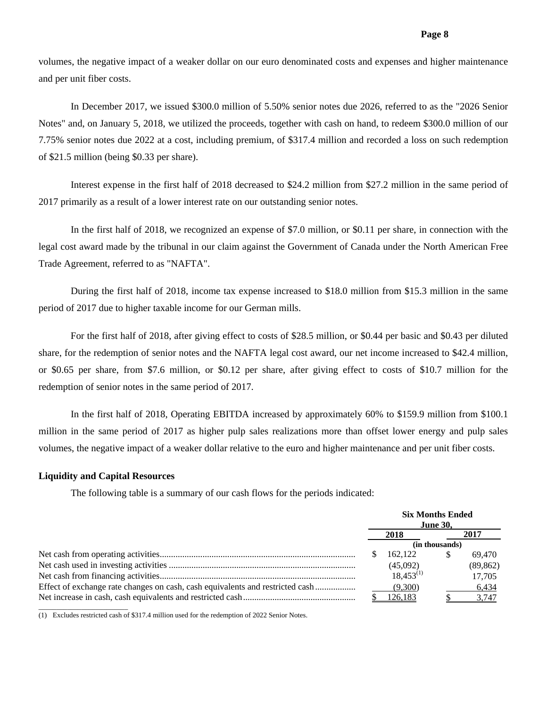volumes, the negative impact of a weaker dollar on our euro denominated costs and expenses and higher maintenance and per unit fiber costs.

In December 2017, we issued \$300.0 million of 5.50% senior notes due 2026, referred to as the "2026 Senior Notes" and, on January 5, 2018, we utilized the proceeds, together with cash on hand, to redeem \$300.0 million of our 7.75% senior notes due 2022 at a cost, including premium, of \$317.4 million and recorded a loss on such redemption of \$21.5 million (being \$0.33 per share).

Interest expense in the first half of 2018 decreased to \$24.2 million from \$27.2 million in the same period of 2017 primarily as a result of a lower interest rate on our outstanding senior notes.

In the first half of 2018, we recognized an expense of \$7.0 million, or \$0.11 per share, in connection with the legal cost award made by the tribunal in our claim against the Government of Canada under the North American Free Trade Agreement, referred to as "NAFTA".

During the first half of 2018, income tax expense increased to \$18.0 million from \$15.3 million in the same period of 2017 due to higher taxable income for our German mills.

For the first half of 2018, after giving effect to costs of \$28.5 million, or \$0.44 per basic and \$0.43 per diluted share, for the redemption of senior notes and the NAFTA legal cost award, our net income increased to \$42.4 million, or \$0.65 per share, from \$7.6 million, or \$0.12 per share, after giving effect to costs of \$10.7 million for the redemption of senior notes in the same period of 2017.

In the first half of 2018, Operating EBITDA increased by approximately 60% to \$159.9 million from \$100.1 million in the same period of 2017 as higher pulp sales realizations more than offset lower energy and pulp sales volumes, the negative impact of a weaker dollar relative to the euro and higher maintenance and per unit fiber costs.

#### **Liquidity and Capital Resources**

The following table is a summary of our cash flows for the periods indicated:

|      |                | <b>Six Months Ended</b><br><b>June 30,</b> |           |  |
|------|----------------|--------------------------------------------|-----------|--|
| 2018 |                |                                            | 2017      |  |
|      |                | (in thousands)                             |           |  |
|      | 162.122        | \$                                         | 69.470    |  |
|      | (45,092)       |                                            | (89, 862) |  |
|      | $18.453^{(1)}$ |                                            | 17,705    |  |
|      | (9,300)        |                                            | 6,434     |  |
|      | 126.183        |                                            | 3.747     |  |
|      |                |                                            |           |  |

(1) Excludes restricted cash of \$317.4 million used for the redemption of 2022 Senior Notes.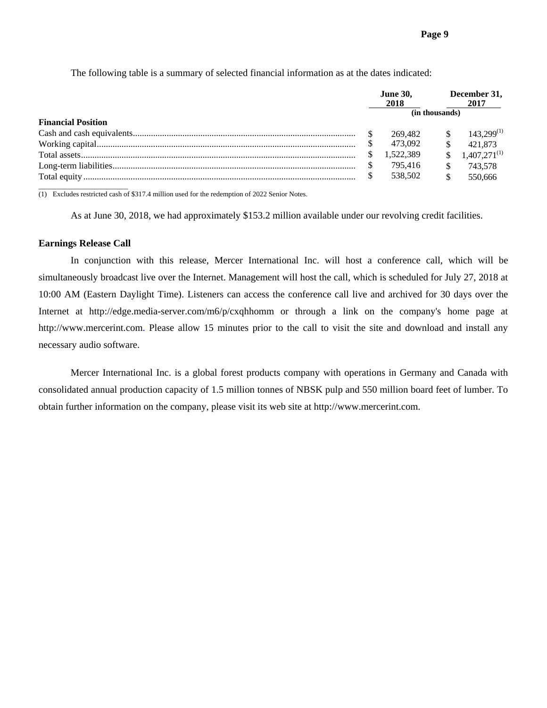**June 30, December 31, 2018 2018** 2017 **(in thousands) Financial Position**  Cash and cash equivalents ................................................................................................... \$ 269,482 \$ 143,299(1) Working capital ................................................................................................................... \$ 473,092 \$ 421,873 Total assets .......................................................................................................................... \$ 1,522,389 \$ 1,407,271(1) Long-term liabilities ............................................................................................................ \$ 795,416 \$ 743,578 Total equity ......................................................................................................................... \$ 538,502 \$ 550,666 \_\_\_\_\_\_\_\_\_\_\_\_\_\_\_\_\_\_\_\_\_\_\_\_\_

The following table is a summary of selected financial information as at the dates indicated:

(1) Excludes restricted cash of \$317.4 million used for the redemption of 2022 Senior Notes.

As at June 30, 2018, we had approximately \$153.2 million available under our revolving credit facilities.

#### **Earnings Release Call**

 In conjunction with this release, Mercer International Inc. will host a conference call, which will be simultaneously broadcast live over the Internet. Management will host the call, which is scheduled for July 27, 2018 at 10:00 AM (Eastern Daylight Time). Listeners can access the conference call live and archived for 30 days over the Internet at http://edge.media-server.com/m6/p/cxqhhomm or through a link on the company's home page at http://www.mercerint.com. Please allow 15 minutes prior to the call to visit the site and download and install any necessary audio software.

Mercer International Inc. is a global forest products company with operations in Germany and Canada with consolidated annual production capacity of 1.5 million tonnes of NBSK pulp and 550 million board feet of lumber. To obtain further information on the company, please visit its web site at http://www.mercerint.com.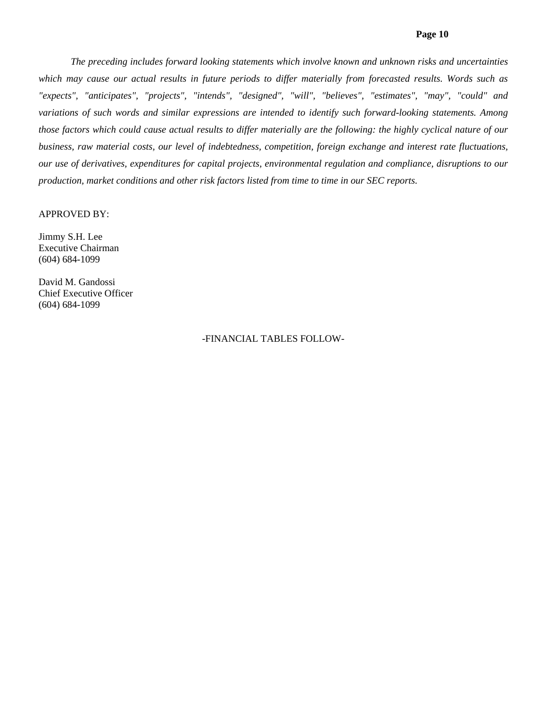## **Page 10**

*The preceding includes forward looking statements which involve known and unknown risks and uncertainties*  which may cause our actual results in future periods to differ materially from forecasted results. Words such as *"expects", "anticipates", "projects", "intends", "designed", "will", "believes", "estimates", "may", "could" and variations of such words and similar expressions are intended to identify such forward-looking statements. Among those factors which could cause actual results to differ materially are the following: the highly cyclical nature of our business, raw material costs, our level of indebtedness, competition, foreign exchange and interest rate fluctuations, our use of derivatives, expenditures for capital projects, environmental regulation and compliance, disruptions to our production, market conditions and other risk factors listed from time to time in our SEC reports.* 

#### APPROVED BY:

Jimmy S.H. Lee Executive Chairman (604) 684-1099

David M. Gandossi Chief Executive Officer (604) 684-1099

## -FINANCIAL TABLES FOLLOW-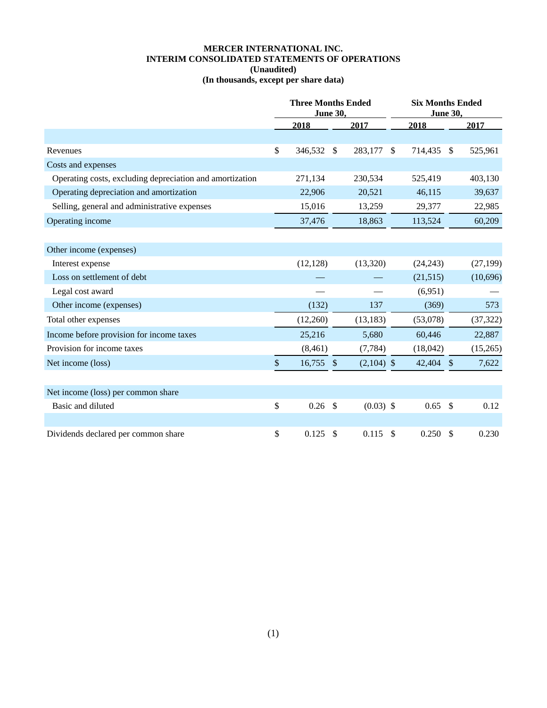# **MERCER INTERNATIONAL INC. INTERIM CONSOLIDATED STATEMENTS OF OPERATIONS (Unaudited) (In thousands, except per share data)**

|                                                          | <b>Three Months Ended</b><br><b>June 30,</b> |              |              | <b>Six Months Ended</b><br><b>June 30,</b> |            |  |           |
|----------------------------------------------------------|----------------------------------------------|--------------|--------------|--------------------------------------------|------------|--|-----------|
|                                                          | 2018                                         |              | 2017         |                                            | 2018       |  | 2017      |
|                                                          |                                              |              |              |                                            |            |  |           |
| Revenues                                                 | \$<br>346,532                                | $\mathbb{S}$ | 283,177      | $\mathbb{S}$                               | 714,435 \$ |  | 525,961   |
| Costs and expenses                                       |                                              |              |              |                                            |            |  |           |
| Operating costs, excluding depreciation and amortization | 271,134                                      |              | 230,534      |                                            | 525,419    |  | 403,130   |
| Operating depreciation and amortization                  | 22,906                                       |              | 20,521       |                                            | 46,115     |  | 39,637    |
| Selling, general and administrative expenses             | 15,016                                       |              | 13,259       |                                            | 29,377     |  | 22,985    |
| Operating income                                         | 37,476                                       |              | 18,863       |                                            | 113,524    |  | 60,209    |
|                                                          |                                              |              |              |                                            |            |  |           |
| Other income (expenses)                                  |                                              |              |              |                                            |            |  |           |
| Interest expense                                         | (12, 128)                                    |              | (13,320)     |                                            | (24, 243)  |  | (27, 199) |
| Loss on settlement of debt                               |                                              |              |              |                                            | (21, 515)  |  | (10,696)  |
| Legal cost award                                         |                                              |              |              |                                            | (6,951)    |  |           |
| Other income (expenses)                                  | (132)                                        |              | 137          |                                            | (369)      |  | 573       |
| Total other expenses                                     | (12,260)                                     |              | (13, 183)    |                                            | (53,078)   |  | (37, 322) |
| Income before provision for income taxes                 | 25,216                                       |              | 5,680        |                                            | 60,446     |  | 22,887    |
| Provision for income taxes                               | (8,461)                                      |              | (7, 784)     |                                            | (18,042)   |  | (15,265)  |
| Net income (loss)                                        | \$<br>$16,755$ \$                            |              | $(2,104)$ \$ |                                            | 42,404 \$  |  | 7,622     |
|                                                          |                                              |              |              |                                            |            |  |           |
| Net income (loss) per common share                       |                                              |              |              |                                            |            |  |           |
| Basic and diluted                                        | \$<br>0.26                                   | \$           | $(0.03)$ \$  |                                            | $0.65$ \$  |  | 0.12      |
|                                                          |                                              |              |              |                                            |            |  |           |
| Dividends declared per common share                      | \$<br>0.125                                  | \$           | 0.115        | \$                                         | $0.250$ \$ |  | 0.230     |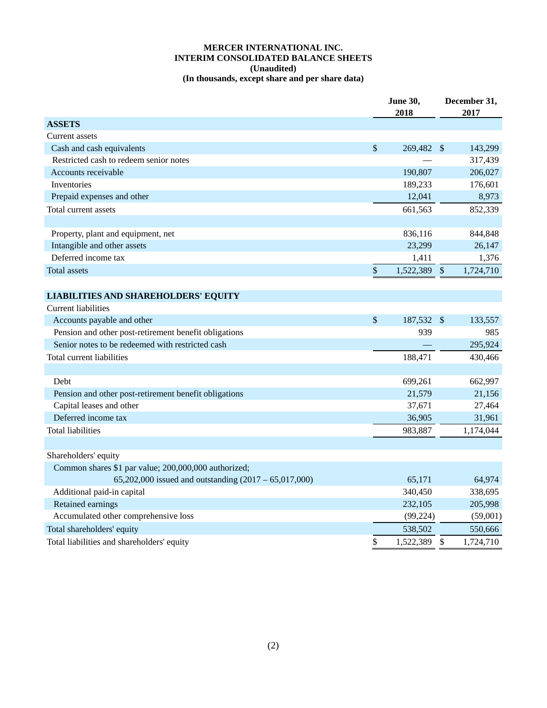## **MERCER INTERNATIONAL INC. INTERIM CONSOLIDATED BALANCE SHEETS (Unaudited) (In thousands, except share and per share data)**

|                                                         | <b>June 30,</b><br>2018 |            |                           | December 31,<br>2017 |
|---------------------------------------------------------|-------------------------|------------|---------------------------|----------------------|
| <b>ASSETS</b>                                           |                         |            |                           |                      |
| Current assets                                          |                         |            |                           |                      |
| Cash and cash equivalents                               | $\sqrt{\ }$             | 269,482 \$ |                           | 143,299              |
| Restricted cash to redeem senior notes                  |                         |            |                           | 317,439              |
| Accounts receivable                                     |                         | 190,807    |                           | 206,027              |
| <b>Inventories</b>                                      |                         | 189,233    |                           | 176,601              |
| Prepaid expenses and other                              |                         | 12,041     |                           | 8,973                |
| Total current assets                                    |                         | 661,563    |                           | 852,339              |
|                                                         |                         |            |                           |                      |
| Property, plant and equipment, net                      |                         | 836,116    |                           | 844,848              |
| Intangible and other assets                             |                         | 23,299     |                           | 26,147               |
| Deferred income tax                                     |                         | 1,411      |                           | 1,376                |
| Total assets                                            | $\$$                    | 1,522,389  | $\sqrt$                   | 1,724,710            |
|                                                         |                         |            |                           |                      |
| <b>LIABILITIES AND SHAREHOLDERS' EQUITY</b>             |                         |            |                           |                      |
| <b>Current liabilities</b>                              |                         |            |                           |                      |
| Accounts payable and other                              | $\mathbb{S}$            | 187,532 \$ |                           | 133,557              |
| Pension and other post-retirement benefit obligations   |                         | 939        |                           | 985                  |
| Senior notes to be redeemed with restricted cash        |                         |            |                           | 295,924              |
| Total current liabilities                               |                         | 188,471    |                           | 430,466              |
| Debt                                                    |                         | 699,261    |                           | 662,997              |
| Pension and other post-retirement benefit obligations   |                         | 21,579     |                           | 21,156               |
| Capital leases and other                                |                         | 37,671     |                           | 27,464               |
| Deferred income tax                                     |                         | 36,905     |                           | 31,961               |
| <b>Total liabilities</b>                                |                         | 983,887    |                           | 1,174,044            |
|                                                         |                         |            |                           |                      |
| Shareholders' equity                                    |                         |            |                           |                      |
| Common shares \$1 par value; 200,000,000 authorized;    |                         |            |                           |                      |
| 65,202,000 issued and outstanding $(2017 - 65,017,000)$ |                         | 65,171     |                           | 64,974               |
| Additional paid-in capital                              |                         | 340,450    |                           | 338,695              |
| Retained earnings                                       |                         | 232,105    |                           | 205,998              |
| Accumulated other comprehensive loss                    |                         | (99, 224)  |                           | (59,001)             |
| Total shareholders' equity                              |                         | 538,502    |                           | 550,666              |
| Total liabilities and shareholders' equity              | \$                      | 1,522,389  | $\boldsymbol{\mathsf{S}}$ | 1,724,710            |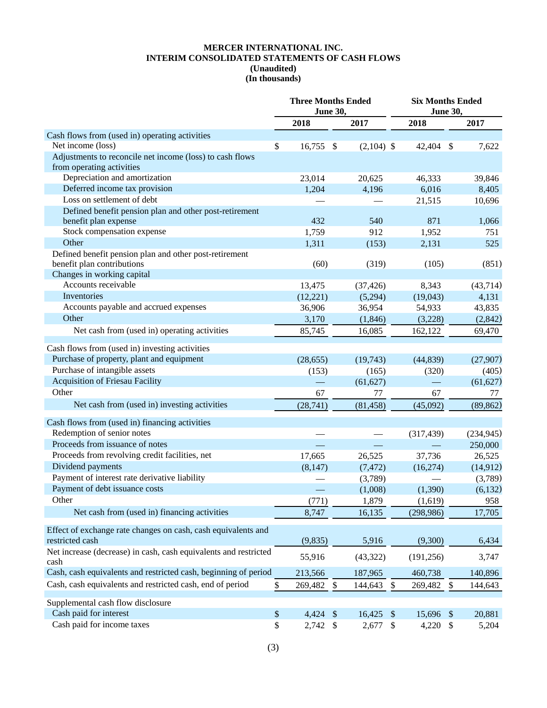## **MERCER INTERNATIONAL INC. INTERIM CONSOLIDATED STATEMENTS OF CASH FLOWS (Unaudited) (In thousands)**

|                                                                          | <b>Three Months Ended</b><br><b>June 30,</b> |                           |              |               | <b>Six Months Ended</b><br>June 30, |                           |            |  |
|--------------------------------------------------------------------------|----------------------------------------------|---------------------------|--------------|---------------|-------------------------------------|---------------------------|------------|--|
|                                                                          | 2018                                         |                           | 2017         |               | 2018                                |                           | 2017       |  |
| Cash flows from (used in) operating activities                           |                                              |                           |              |               |                                     |                           |            |  |
| Net income (loss)                                                        | \$<br>16,755                                 | $\mathcal{S}$             | $(2,104)$ \$ |               | 42,404                              | $\mathcal{S}$             | 7,622      |  |
| Adjustments to reconcile net income (loss) to cash flows                 |                                              |                           |              |               |                                     |                           |            |  |
| from operating activities                                                |                                              |                           |              |               |                                     |                           |            |  |
| Depreciation and amortization                                            | 23,014                                       |                           | 20,625       |               | 46,333                              |                           | 39,846     |  |
| Deferred income tax provision                                            | 1,204                                        |                           | 4,196        |               | 6,016                               |                           | 8,405      |  |
| Loss on settlement of debt                                               |                                              |                           |              |               | 21,515                              |                           | 10,696     |  |
| Defined benefit pension plan and other post-retirement                   |                                              |                           |              |               |                                     |                           |            |  |
| benefit plan expense                                                     | 432                                          |                           | 540          |               | 871                                 |                           | 1,066      |  |
| Stock compensation expense                                               | 1,759                                        |                           | 912          |               | 1,952                               |                           | 751        |  |
| Other                                                                    | 1,311                                        |                           | (153)        |               | 2,131                               |                           | 525        |  |
| Defined benefit pension plan and other post-retirement                   |                                              |                           |              |               |                                     |                           |            |  |
| benefit plan contributions                                               | (60)                                         |                           | (319)        |               | (105)                               |                           | (851)      |  |
| Changes in working capital                                               |                                              |                           |              |               |                                     |                           |            |  |
| Accounts receivable                                                      | 13,475                                       |                           | (37, 426)    |               | 8,343                               |                           | (43, 714)  |  |
| Inventories                                                              | (12, 221)                                    |                           | (5,294)      |               | (19,043)                            |                           | 4,131      |  |
| Accounts payable and accrued expenses                                    | 36,906                                       |                           | 36,954       |               | 54,933                              |                           | 43,835     |  |
| Other                                                                    | 3,170                                        |                           | (1,846)      |               | (3,228)                             |                           | (2,842)    |  |
| Net cash from (used in) operating activities                             | 85,745                                       |                           | 16,085       |               | 162,122                             |                           | 69,470     |  |
| Cash flows from (used in) investing activities                           |                                              |                           |              |               |                                     |                           |            |  |
| Purchase of property, plant and equipment                                | (28, 655)                                    |                           | (19,743)     |               | (44, 839)                           |                           | (27,907)   |  |
| Purchase of intangible assets                                            | (153)                                        |                           | (165)        |               | (320)                               |                           | (405)      |  |
| <b>Acquisition of Friesau Facility</b>                                   |                                              |                           | (61, 627)    |               |                                     |                           | (61, 627)  |  |
| Other                                                                    | 67                                           |                           | 77           |               | 67                                  |                           | 77         |  |
| Net cash from (used in) investing activities                             | (28, 741)                                    |                           | (81, 458)    |               | (45,092)                            |                           | (89, 862)  |  |
|                                                                          |                                              |                           |              |               |                                     |                           |            |  |
| Cash flows from (used in) financing activities                           |                                              |                           |              |               |                                     |                           |            |  |
| Redemption of senior notes                                               |                                              |                           |              |               | (317, 439)                          |                           | (234, 945) |  |
| Proceeds from issuance of notes                                          |                                              |                           |              |               |                                     |                           | 250,000    |  |
| Proceeds from revolving credit facilities, net                           | 17,665                                       |                           | 26,525       |               | 37,736                              |                           | 26,525     |  |
| Dividend payments                                                        | (8,147)                                      |                           | (7, 472)     |               | (16,274)                            |                           | (14, 912)  |  |
| Payment of interest rate derivative liability                            |                                              |                           | (3,789)      |               |                                     |                           | (3,789)    |  |
| Payment of debt issuance costs                                           |                                              |                           | (1,008)      |               | (1,390)                             |                           | (6,132)    |  |
| Other                                                                    | (771)                                        |                           | 1,879        |               | (1,619)                             |                           | 958        |  |
| Net cash from (used in) financing activities                             | 8,747                                        |                           | 16,135       |               | (298, 986)                          |                           | 17,705     |  |
| Effect of exchange rate changes on cash, cash equivalents and            |                                              |                           |              |               |                                     |                           |            |  |
| restricted cash                                                          | (9,835)                                      |                           | 5,916        |               | (9,300)                             |                           | 6,434      |  |
| Net increase (decrease) in cash, cash equivalents and restricted<br>cash | 55,916                                       |                           | (43, 322)    |               | (191, 256)                          |                           | 3,747      |  |
| Cash, cash equivalents and restricted cash, beginning of period          | 213,566                                      |                           | 187,965      |               | 460,738                             |                           | 140,896    |  |
| Cash, cash equivalents and restricted cash, end of period                | \$<br>269,482                                | $\boldsymbol{\mathsf{S}}$ | 144,643      | \$            | 269,482                             | \$                        | 144,643    |  |
| Supplemental cash flow disclosure                                        |                                              |                           |              |               |                                     |                           |            |  |
| Cash paid for interest                                                   | \$<br>4,424                                  | $\sqrt$                   | 16,425       | $\frac{1}{2}$ | 15,696                              | $\sqrt[6]{\frac{1}{2}}$   | 20,881     |  |
| Cash paid for income taxes                                               | \$<br>2,742                                  | \$                        | 2,677        | \$            | 4,220                               | $\boldsymbol{\mathsf{S}}$ | 5,204      |  |
|                                                                          |                                              |                           |              |               |                                     |                           |            |  |